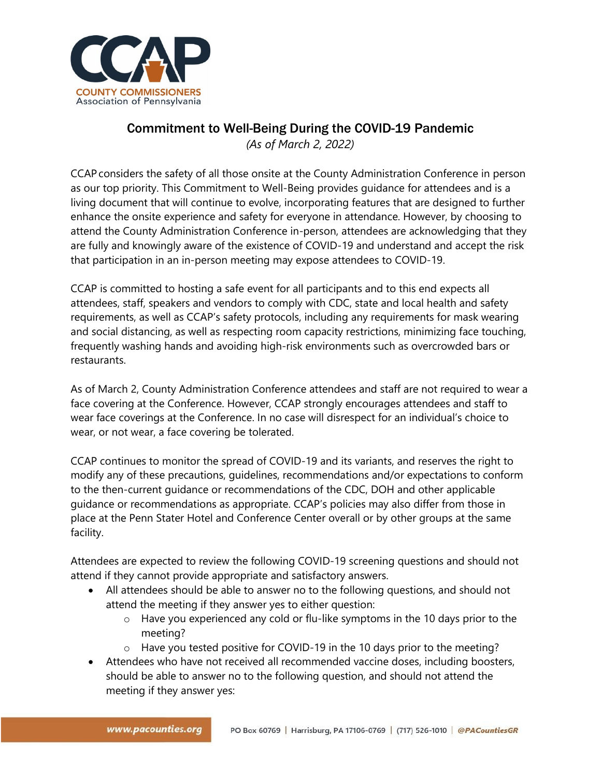

## Commitment to Well-Being During the COVID-19 Pandemic

*(As of March 2, 2022)*

CCAP considers the safety of all those onsite at the County Administration Conference in person as our top priority. This Commitment to Well-Being provides guidance for attendees and is a living document that will continue to evolve, incorporating features that are designed to further enhance the onsite experience and safety for everyone in attendance. However, by choosing to attend the County Administration Conference in-person, attendees are acknowledging that they are fully and knowingly aware of the existence of COVID-19 and understand and accept the risk that participation in an in-person meeting may expose attendees to COVID-19.

CCAP is committed to hosting a safe event for all participants and to this end expects all attendees, staff, speakers and vendors to comply with CDC, state and local health and safety requirements, as well as CCAP's safety protocols, including any requirements for mask wearing and social distancing, as well as respecting room capacity restrictions, minimizing face touching, frequently washing hands and avoiding high-risk environments such as overcrowded bars or restaurants.

As of March 2, County Administration Conference attendees and staff are not required to wear a face covering at the Conference. However, CCAP strongly encourages attendees and staff to wear face coverings at the Conference. In no case will disrespect for an individual's choice to wear, or not wear, a face covering be tolerated.

CCAP continues to monitor the spread of COVID-19 and its variants, and reserves the right to modify any of these precautions, guidelines, recommendations and/or expectations to conform to the then-current guidance or recommendations of the CDC, DOH and other applicable guidance or recommendations as appropriate. CCAP's policies may also differ from those in place at the Penn Stater Hotel and Conference Center overall or by other groups at the same facility.

Attendees are expected to review the following COVID-19 screening questions and should not attend if they cannot provide appropriate and satisfactory answers.

- All attendees should be able to answer no to the following questions, and should not attend the meeting if they answer yes to either question:
	- $\circ$  Have you experienced any cold or flu-like symptoms in the 10 days prior to the meeting?
	- o Have you tested positive for COVID-19 in the 10 days prior to the meeting?
- Attendees who have not received all recommended vaccine doses, including boosters, should be able to answer no to the following question, and should not attend the meeting if they answer yes: